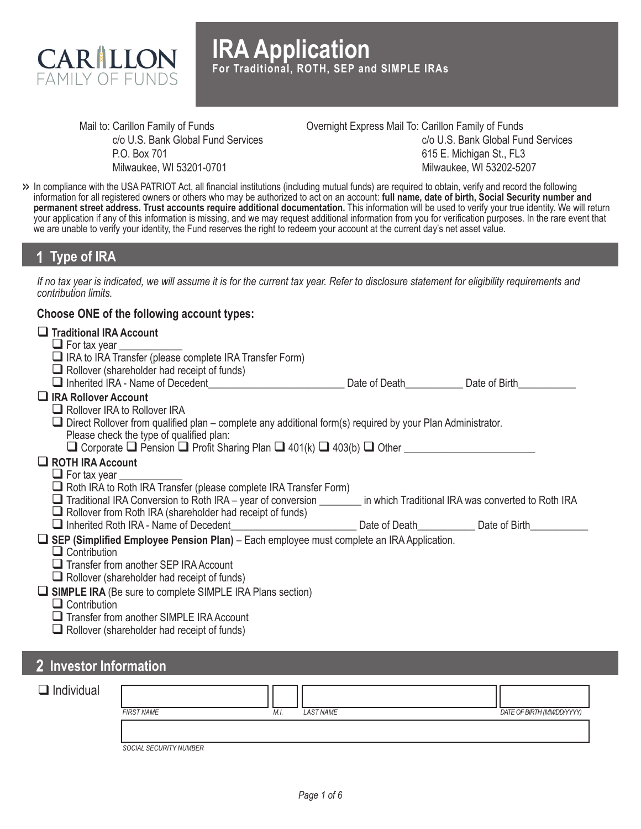

Mail to: Carillon Family of Funds c/o U.S. Bank Global Fund Services P.O. Box 701 Milwaukee, WI 53201-0701

Overnight Express Mail To: Carillon Family of Funds c/o U.S. Bank Global Fund Services 615 E. Michigan St., FL3 Milwaukee, WI 53202-5207

In compliance with the USA PATRIOT Act, all financial institutions (including mutual funds) are required to obtain, verify and record the following **>>** information for all registered owners or others who may be authorized to act on an account: **full name, date of birth, Social Security number and permanent street address. Trust accounts require additional documentation.** This information will be used to verify your true identity. We will return your application if any of this information is missing, and we may request additional information from you for verification purposes. In the rare event that we are unable to verify your identity, the Fund reserves the right to redeem your account at the current day's net asset value.

### **1 Type of IRA**

*If no tax year is indicated, we will assume it is for the current tax year. Refer to disclosure statement for eligibility requirements and contribution limits.*

### **Choose ONE of the following account types:**

| $\Box$ Traditional IRA Account                                                                                           |                             |  |
|--------------------------------------------------------------------------------------------------------------------------|-----------------------------|--|
| $\Box$ For tax year $\Box$                                                                                               |                             |  |
| □ IRA to IRA Transfer (please complete IRA Transfer Form)                                                                |                             |  |
| $\Box$ Rollover (shareholder had receipt of funds)                                                                       |                             |  |
| Inherited IRA - Name of Decedent                                                                                         | Date of Death Date of Birth |  |
| $\Box$ IRA Rollover Account                                                                                              |                             |  |
| $\Box$ Rollover IRA to Rollover IRA                                                                                      |                             |  |
| $\Box$ Direct Rollover from qualified plan – complete any additional form(s) required by your Plan Administrator.        |                             |  |
| Please check the type of qualified plan:                                                                                 |                             |  |
| $\Box$ Corporate $\Box$ Pension $\Box$ Profit Sharing Plan $\Box$ 401(k) $\Box$ 403(b) $\Box$ Other                      |                             |  |
| $\Box$ ROTH IRA Account                                                                                                  |                             |  |
| $\Box$ For tax year                                                                                                      |                             |  |
| $\Box$ Roth IRA to Roth IRA Transfer (please complete IRA Transfer Form)                                                 |                             |  |
| Traditional IRA Conversion to Roth IRA – year of conversion _________ in which Traditional IRA was converted to Roth IRA |                             |  |
| $\Box$ Rollover from Roth IRA (shareholder had receipt of funds)                                                         |                             |  |
| Inherited Roth IRA - Name of Decedent Decomposition of Dealer Charles Date of Death Date of Birth                        |                             |  |
| U SEP (Simplified Employee Pension Plan) - Each employee must complete an IRA Application.                               |                             |  |
| $\Box$ Contribution                                                                                                      |                             |  |
| $\Box$ Transfer from another SEP IRA Account                                                                             |                             |  |
| $\Box$ Rollover (shareholder had receipt of funds)                                                                       |                             |  |
| $\Box$ SIMPLE IRA (Be sure to complete SIMPLE IRA Plans section)                                                         |                             |  |
| $\Box$ Contribution                                                                                                      |                             |  |
| Transfer from another SIMPLE IRA Account                                                                                 |                             |  |
| $\Box$ Rollover (shareholder had receipt of funds)                                                                       |                             |  |
|                                                                                                                          |                             |  |
|                                                                                                                          |                             |  |

### **2 Investor Information**

| $\Box$ Individual |                        |      |                  |                            |
|-------------------|------------------------|------|------------------|----------------------------|
|                   | <b>FIRST NAME</b>      | M.I. | <b>LAST NAME</b> | DATE OF BIRTH (MM/DD/YYYY) |
|                   |                        |      |                  |                            |
|                   |                        |      |                  |                            |
|                   | SOCIAL SECURITY NUMBER |      |                  |                            |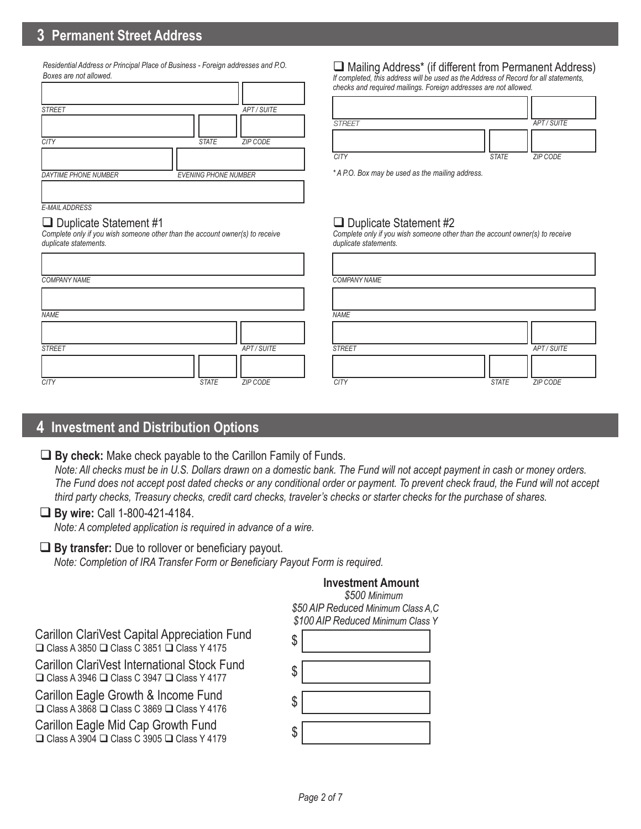*Residential Address or Principal Place of Business - Foreign addresses and P.O. Boxes are not allowed.*

| <b>STREET</b>               | APT/SUITE                   |
|-----------------------------|-----------------------------|
|                             |                             |
| <b>CITY</b>                 | <b>STATE</b><br>ZIP CODE    |
|                             |                             |
| <b>DAYTIME PHONE NUMBER</b> | <b>EVENING PHONE NUMBER</b> |
| E-MAIL ADDRESS              |                             |

#### $\Box$  Duplicate Statement #1

*Complete only if you wish someone other than the account owner(s) to receive duplicate statements.*

| <b>COMPANY NAME</b> |              |             | <b>COMPAI</b> |
|---------------------|--------------|-------------|---------------|
|                     |              |             |               |
| <b>NAME</b>         |              |             | <b>NAME</b>   |
|                     |              |             |               |
| <b>STREET</b>       |              | APT / SUITE | <b>STREET</b> |
| <b>CITY</b>         | <b>STATE</b> | ZIP CODE    | <b>CITY</b>   |
|                     |              |             |               |

### $\Box$  Mailing Address<sup>\*</sup> (if different from Permanent Address)

*If completed, this address will be used as the Address of Record for all statements, checks and required mailings. Foreign addresses are not allowed.*

| <b>STREET</b> |              | APT / SUITE |
|---------------|--------------|-------------|
|               |              |             |
| <b>CITY</b>   | <b>STATE</b> | ZIP CODE    |

*\* A P.O. Box may be used as the mailing address.*

### $\Box$  Duplicate Statement #2

*Complete only if you wish someone other than the account owner(s) to receive duplicate statements.*

|                          | <b>COMPANY NAME</b> |              |             |
|--------------------------|---------------------|--------------|-------------|
|                          |                     |              |             |
|                          | <b>NAME</b>         |              |             |
|                          |                     |              |             |
| APT / SUITE              | <b>STREET</b>       |              | APT / SUITE |
| <b>STATE</b><br>ZIP CODE | <b>CITY</b>         | <b>STATE</b> | ZIP CODE    |

# **4 Investment and Distribution Options**

### **By check:** Make check payable to the Carillon Family of Funds.

 *Note: All checks must be in U.S. Dollars drawn on a domestic bank. The Fund will not accept payment in cash or money orders. The Fund does not accept post dated checks or any conditional order or payment. To prevent check fraud, the Fund will not accept third party checks, Treasury checks, credit card checks, traveler's checks or starter checks for the purchase of shares.*

### **By wire:** Call 1-800-421-4184.

*Note: A completed application is required in advance of a wire.*

### ■ **By transfer:** Due to rollover or beneficiary payout.

*Note: Completion of IRA Transfer Form or Beneficiary Payout Form is required.*

### **Investment Amount**

 *\$500 Minimum \$50 AIP Reduced Minimum Class A,C \$100 AIP Reduced Minimum Class Y*

Carillon ClariVest Capital Appreciation Fund  $\Box$  Class A 3850  $\Box$  Class C 3851  $\Box$  Class Y 4175

Carillon ClariVest International Stock Fund  $\Box$  Class A 3946  $\Box$  Class C 3947  $\Box$  Class Y 4177

Carillon Eagle Growth & Income Fund  $\Box$  Class A 3868  $\Box$  Class C 3869  $\Box$  Class Y 4176

Carillon Eagle Mid Cap Growth Fund  $\Box$  Class A 3904  $\Box$  Class C 3905  $\Box$  Class Y 4179

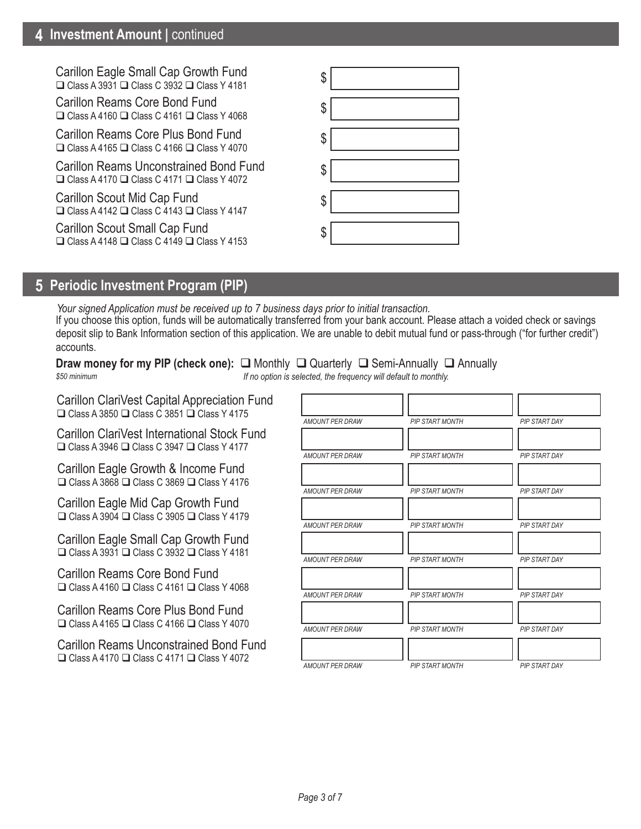## **4 Investment Amount |** continued

Carillon Eagle Small Cap Growth Fund  $\Box$  Class A 3931  $\Box$  Class C 3932  $\Box$  Class Y 4181

Carillon Reams Core Bond Fund  $\Box$  Class A 4160  $\Box$  Class C 4161  $\Box$  Class Y 4068

Carillon Reams Core Plus Bond Fund  $\Box$  Class A 4165  $\Box$  Class C 4166  $\Box$  Class Y 4070

Carillon Reams Unconstrained Bond Fund  $\Box$  Class A 4170  $\Box$  Class C 4171  $\Box$  Class Y 4072

Carillon Scout Mid Cap Fund  $\Box$  Class A 4142  $\Box$  Class C 4143  $\Box$  Class Y 4147

Carillon Scout Small Cap Fund  $\Box$  Class A 4148  $\Box$  Class C 4149  $\Box$  Class Y 4153

| \$ |
|----|
| \$ |
| \$ |
| \$ |
| \$ |
| \$ |

# **5 Periodic Investment Program (PIP)**

If you choose this option, funds will be automatically transferred from your bank account. Please attach a voided check or savings deposit slip to Bank Information section of this application. We are unable to debit mutual fund or pass-through ("for further credit") accounts. *Your signed Application must be received up to 7 business days prior to initial transaction.*

**Draw money for my PIP (check one):** □ Monthly □ Quarterly □ Semi-Annually □ Annually *If no option is selected, the frequency will default to monthly. \$50 minimum*

Carillon ClariVest Capital Appreciation Fund  $\Box$  Class A 3850  $\Box$  Class C 3851  $\Box$  Class Y 4175

Carillon ClariVest International Stock Fund  $\Box$  Class A 3946  $\Box$  Class C 3947  $\Box$  Class Y 4177

Carillon Eagle Growth & Income Fund  $\Box$  Class A 3868  $\Box$  Class C 3869  $\Box$  Class Y 4176

Carillon Eagle Mid Cap Growth Fund  $\Box$  Class A 3904  $\Box$  Class C 3905  $\Box$  Class Y 4179

Carillon Eagle Small Cap Growth Fund  $\Box$  Class A 3931  $\Box$  Class C 3932  $\Box$  Class Y 4181

Carillon Reams Core Bond Fund  $\Box$  Class A 4160  $\Box$  Class C 4161  $\Box$  Class Y 4068

Carillon Reams Core Plus Bond Fund  $\Box$  Class A 4165  $\Box$  Class C 4166  $\Box$  Class Y 4070

Carillon Reams Unconstrained Bond Fund  $\Box$  Class A 4170  $\Box$  Class C 4171  $\Box$  Class Y 4072

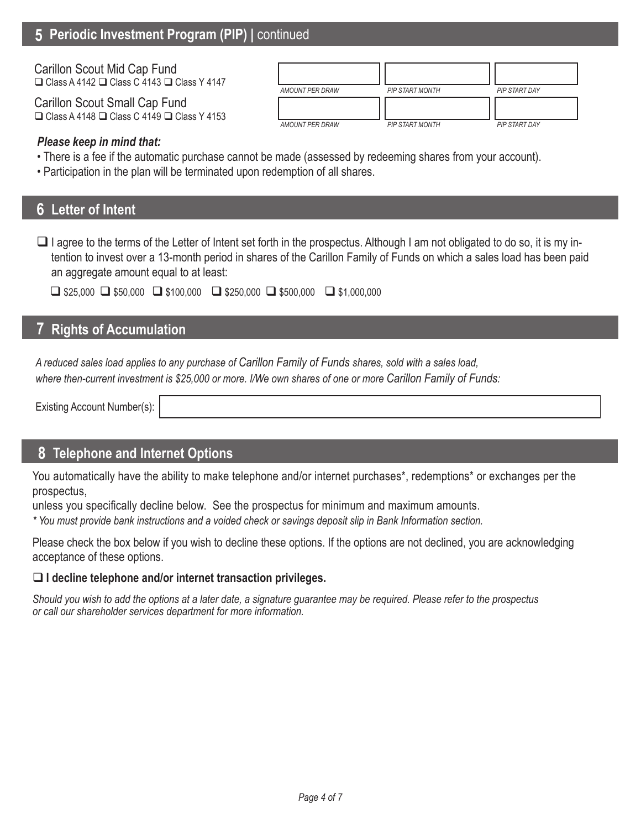# **5 Periodic Investment Program (PIP)** *|* continued

| Carillon Scout Mid Cap Fund<br>$\Box$ Class A 4142 $\Box$ Class C 4143 $\Box$ Class Y 4147   |                 |                        |               |
|----------------------------------------------------------------------------------------------|-----------------|------------------------|---------------|
|                                                                                              | AMOUNT PER DRAW | <b>PIP START MONTH</b> | PIP START DAY |
| Carillon Scout Small Cap Fund<br>$\Box$ Class A 4148 $\Box$ Class C 4149 $\Box$ Class Y 4153 | AMOUNT PER DRAW | <b>PIP START MONTH</b> | PIP START DAY |

### *Please keep in mind that:*

- There is a fee if the automatic purchase cannot be made (assessed by redeeming shares from your account).
- Participation in the plan will be terminated upon redemption of all shares.

### **6 Letter of Intent**

 $\Box$  I agree to the terms of the Letter of Intent set forth in the prospectus. Although I am not obligated to do so, it is my intention to invest over a 13-month period in shares of the Carillon Family of Funds on which a sales load has been paid an aggregate amount equal to at least:

|  |  | $\Box$ \$25,000 $\Box$ \$50,000 $\Box$ \$100,000 $\Box$ \$250,000 $\Box$ \$500,000 $\Box$ \$1,000,000 |  |
|--|--|-------------------------------------------------------------------------------------------------------|--|
|--|--|-------------------------------------------------------------------------------------------------------|--|

# **7 Rights of Accumulation**

*A reduced sales load applies to any purchase of Carillon Family of Funds shares, sold with a sales load, where then-current investment is \$25,000 or more. I/We own shares of one or more Carillon Family of Funds:*

Existing Account Number(s):

### **8 Telephone and Internet Options**

You automatically have the ability to make telephone and/or internet purchases\*, redemptions\* or exchanges per the prospectus,

unless you specifically decline below. See the prospectus for minimum and maximum amounts.

*\* You must provide bank instructions and a voided check or savings deposit slip in Bank Information section.* 

Please check the box below if you wish to decline these options. If the options are not declined, you are acknowledging acceptance of these options.

### **I decline telephone and/or internet transaction privileges.**

*Should you wish to add the options at a later date, a signature guarantee may be required. Please refer to the prospectus or call our shareholder services department for more information.*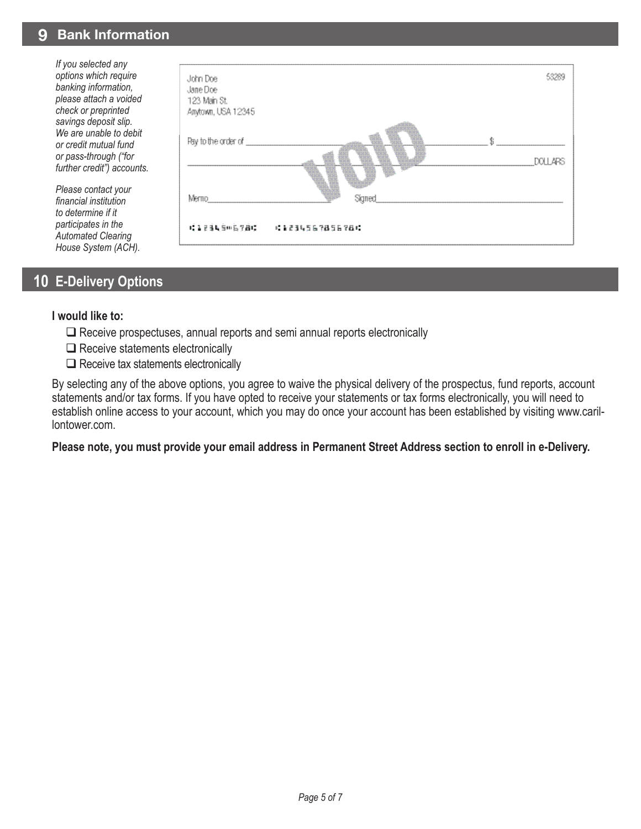### **9 Bank Information**

*If you selected any options which require banking information, please attach a voided check or preprinted savings deposit slip. We are unable to debit or credit mutual fund or pass-through ("for further credit") accounts.* 

*Please contact your financial institution to determine if it participates in the Automated Clearing House System (ACH).*



## **10 E-Delivery Options**

#### **I would like to:**

- $\Box$  Receive prospectuses, annual reports and semi annual reports electronically
- $\Box$  Receive statements electronically
- $\Box$  Receive tax statements electronically

By selecting any of the above options, you agree to waive the physical delivery of the prospectus, fund reports, account statements and/or tax forms. If you have opted to receive your statements or tax forms electronically, you will need to establish online access to your account, which you may do once your account has been established by visiting www.carillontower.com.

### **Please note, you must provide your email address in Permanent Street Address section to enroll in e-Delivery.**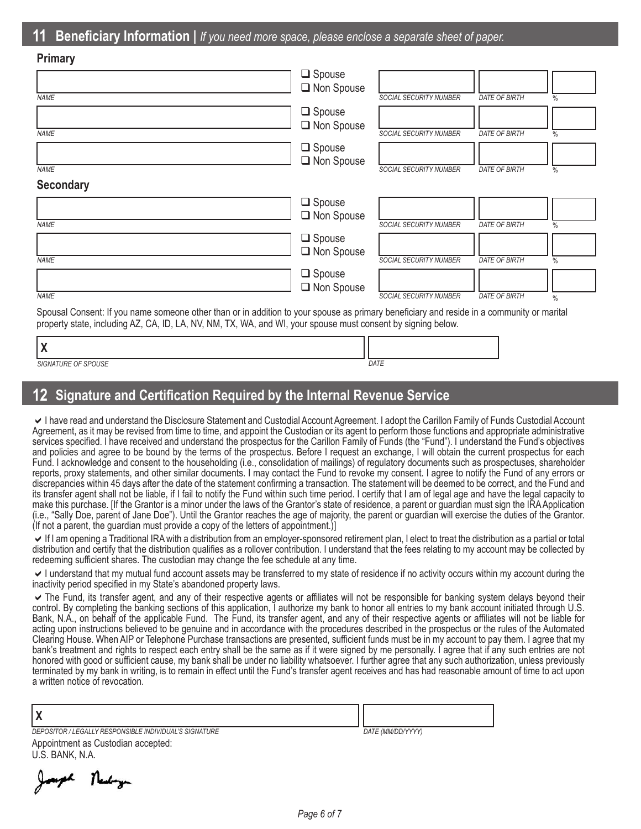| г шнагу          |                  |                        |                      |      |
|------------------|------------------|------------------------|----------------------|------|
|                  | $\Box$ Spouse    |                        |                      |      |
|                  | Non Spouse       |                        |                      |      |
| <b>NAME</b>      |                  | SOCIAL SECURITY NUMBER | <b>DATE OF BIRTH</b> | $\%$ |
|                  | $\square$ Spouse |                        |                      |      |
|                  | Non Spouse       |                        |                      |      |
| <b>NAME</b>      |                  | SOCIAL SECURITY NUMBER | <b>DATE OF BIRTH</b> | $\%$ |
|                  | $\square$ Spouse |                        |                      |      |
|                  | Non Spouse       |                        |                      |      |
| <b>NAME</b>      |                  | SOCIAL SECURITY NUMBER | <b>DATE OF BIRTH</b> | $\%$ |
| <b>Secondary</b> |                  |                        |                      |      |
|                  | $\Box$ Spouse    |                        |                      |      |
|                  | Non Spouse       |                        |                      |      |
| <b>NAME</b>      |                  | SOCIAL SECURITY NUMBER | <b>DATE OF BIRTH</b> | $\%$ |
|                  | $\Box$ Spouse    |                        |                      |      |
|                  | Non Spouse       |                        |                      |      |
| <b>NAME</b>      |                  | SOCIAL SECURITY NUMBER | <b>DATE OF BIRTH</b> | $\%$ |
|                  | $\Box$ Spouse    |                        |                      |      |

□ Non Spouse

*DATE OF BIRTH*

%

*SOCIAL SECURITY NUMBER*

Spousal Consent: If you name someone other than or in addition to your spouse as primary beneficiary and reside in a community or marital property state, including AZ, CA, ID, LA, NV, NM, TX, WA, and WI, your spouse must consent by signing below.

| SIGNATURE OF SPOUSE | DATE |
|---------------------|------|

### **12 Signature and Certification Required by the Internal Revenue Service**

I have read and understand the Disclosure Statement and Custodial Account Agreement. I adopt the Carillon Family of Funds Custodial Account Agreement, as it may be revised from time to time, and appoint the Custodian or its agent to perform those functions and appropriate administrative services specified. I have received and understand the prospectus for the Carillon Family of Funds (the "Fund"). I understand the Fund's objectives and policies and agree to be bound by the terms of the prospectus. Before I request an exchange, I will obtain the current prospectus for each Fund. I acknowledge and consent to the householding (i.e., consolidation of mailings) of regulatory documents such as prospectuses, shareholder reports, proxy statements, and other similar documents. I may contact the Fund to revoke my consent. I agree to notify the Fund of any errors or discrepancies within 45 days after the date of the statement confirming a transaction. The statement will be deemed to be correct, and the Fund and its transfer agent shall not be liable, if I fail to notify the Fund within such time period. I certify that I am of legal age and have the legal capacity to make this purchase. [If the Grantor is a minor under the laws of the Grantor's state of residence, a parent or guardian must sign the IRA Application (i.e., "Sally Doe, parent of Jane Doe"). Until the Grantor reaches the age of majority, the parent or guardian will exercise the duties of the Grantor. (If not a parent, the guardian must provide a copy of the letters of appointment.)]

If I am opening a Traditional IRA with a distribution from an employer-sponsored retirement plan, I elect to treat the distribution as a partial or total distribution and certify that the distribution qualifies as a rollover contribution. I understand that the fees relating to my account may be collected by redeeming sufficient shares. The custodian may change the fee schedule at any time.

I understand that my mutual fund account assets may be transferred to my state of residence if no activity occurs within my account during the inactivity period specified in my State's abandoned property laws.

The Fund, its transfer agent, and any of their respective agents or affiliates will not be responsible for banking system delays beyond their control. By completing the banking sections of this application, I authorize my bank to honor all entries to my bank account initiated through U.S. Bank, N.A., on behalf of the applicable Fund. The Fund, its transfer agent, and any of their respective agents or affiliates will not be liable for acting upon instructions believed to be genuine and in accordance with the procedures described in the prospectus or the rules of the Automated Clearing House. When AIP or Telephone Purchase transactions are presented, sufficient funds must be in my account to pay them. I agree that my bank's treatment and rights to respect each entry shall be the same as if it were signed by me personally. I agree that if any such entries are not honored with good or sufficient cause, my bank shall be under no liability whatsoever. I further agree that any such authorization, unless previously terminated by my bank in writing, is to remain in effect until the Fund's transfer agent receives and has had reasonable amount of time to act upon a written notice of revocation.

| ער ו<br>י ו                                            |                   |
|--------------------------------------------------------|-------------------|
| DEPOSITOR / LEGALLY RESPONSIBLE INDIVIDUAL'S SIGNATURE | DATE (MM/DD/YYYY) |

Appointment as Custodian accepted: U.S. BANK, N.A.

Newboyn

**Primary**

*NAME*